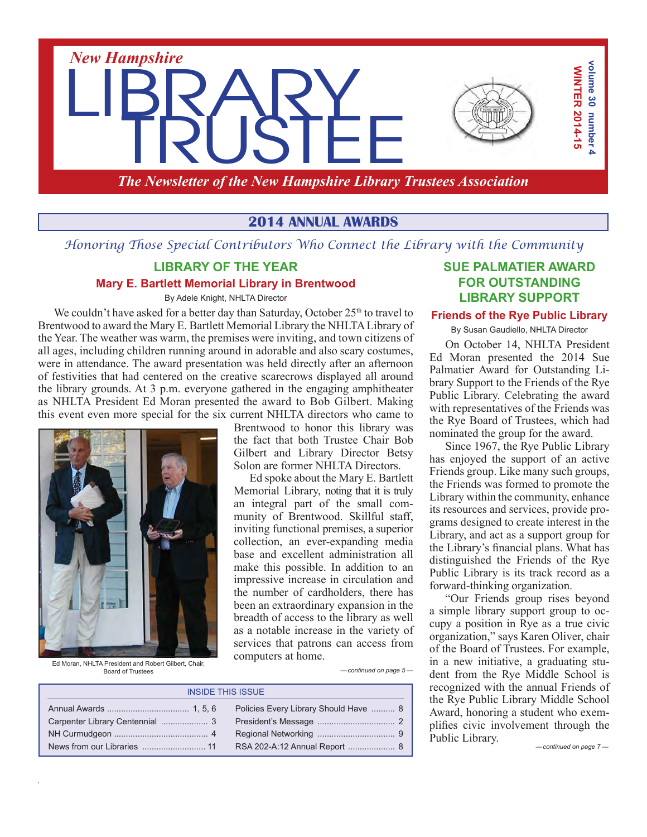

*The Newsletter of the New Hampshire Library Trustees Association*

## **2014 ANNUAL AWARDS**

*Honoring Those Special Contributors Who Connect the Library with the Community*

#### **LIBRARY OF THE YEAR**

#### **Mary E. Bartlett Memorial Library in Brentwood**

By Adele Knight, NHLTA Director

We couldn't have asked for a better day than Saturday, October  $25<sup>th</sup>$  to travel to Brentwood to award the Mary E. Bartlett Memorial Library the NHLTALibrary of the Year. The weather was warm, the premises were inviting, and town citizens of all ages, including children running around in adorable and also scary costumes, were in attendance. The award presentation was held directly after an afternoon of festivities that had centered on the creative scarecrows displayed all around the library grounds. At 3 p.m. everyone gathered in the engaging amphitheater as NHLTA President Ed Moran presented the award to Bob Gilbert. Making this event even more special for the six current NHLTA directors who came to



Brentwood to honor this library was the fact that both Trustee Chair Bob Gilbert and Library Director Betsy Solon are former NHLTA Directors.

Ed spoke about the Mary E. Bartlett Memorial Library, noting that it is truly an integral part of the small community of Brentwood. Skillful staff, inviting functional premises, a superior collection, an ever-expanding media base and excellent administration all make this possible. In addition to an impressive increase in circulation and the number of cardholders, there has been an extraordinary expansion in the breadth of access to the library as well as a notable increase in the variety of services that patrons can access from computers at home.

Ed Moran, NHLTA President and Robert Gilbert, Chair, Board of Trustees

*— continued on page 5 —*

| <b>INSIDE THIS ISSUE</b> |                                       |  |
|--------------------------|---------------------------------------|--|
|                          | Policies Every Library Should Have  8 |  |
|                          |                                       |  |
|                          |                                       |  |
|                          |                                       |  |

#### **SUE PALMATIER AWARD FOR OUTSTANDING LIBRARY SUPPORT**

#### **Friends of the Rye Public Library**

By Susan Gaudiello, NHLTA Director

On October 14, NHLTA President Ed Moran presented the 2014 Sue Palmatier Award for Outstanding Library Support to the Friends of the Rye Public Library. Celebrating the award with representatives of the Friends was the Rye Board of Trustees, which had nominated the group for the award.

Since 1967, the Rye Public Library has enjoyed the support of an active Friends group. Like many such groups, the Friends was formed to promote the Library within the community, enhance its resources and services, provide programs designed to create interest in the Library, and act as a support group for the Library's financial plans. What has distinguished the Friends of the Rye Public Library is its track record as a forward-thinking organization.

"Our Friends group rises beyond a simple library support group to occupy a position in Rye as a true civic organization," says Karen Oliver, chair of the Board of Trustees. For example, in a new initiative, a graduating student from the Rye Middle School is recognized with the annual Friends of the Rye Public Library Middle School Award, honoring a student who exemplifies civic involvement through the Public Library.

*— continued on page 7 —*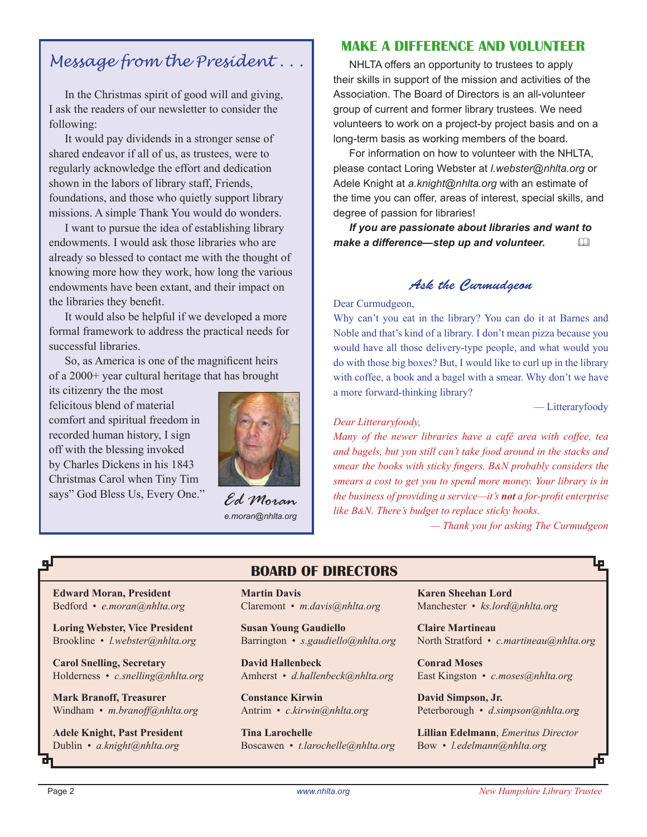# *Message from the President . . .*

In the Christmas spirit of good will and giving, I ask the readers of our newsletter to consider the following:

It would pay dividends in a stronger sense of shared endeavor if all of us, as trustees, were to regularly acknowledge the effort and dedication shown in the labors of library staff, Friends, foundations, and those who quietly support library missions. A simple Thank You would do wonders.

I want to pursue the idea of establishing library endowments. I would ask those libraries who are already so blessed to contact me with the thought of knowing more how they work, how long the various endowments have been extant, and their impact on the libraries they benefit.

It would also be helpful if we developed a more formal framework to address the practical needs for successful libraries.

So, as America is one of the magnificent heirs of a 2000+ year cultural heritage that has brought

its citizenry the the most felicitous blend of material comfort and spiritual freedom in recorded human history, I sign off with the blessing invoked by Charles Dickens in his 1843 Christmas Carol when Tiny Tim says" God Bless Us, Every One."



*Ed Moran e.moran@nhlta.org*

#### **MAKE A DIFFERENCE AND VOLUNTEER**

NHLTA offers an opportunity to trustees to apply their skills in support of the mission and activities of the Association. The Board of Directors is an all-volunteer group of current and former library trustees. We need volunteers to work on a project-by project basis and on a long-term basis as working members of the board.

For information on how to volunteer with the NHLTA, please contact Loring Webster at *l.webster@nhlta.org* or Adele Knight at *a.knight@nhlta.org* with an estimate of the time you can offer, areas of interest, special skills, and degree of passion for libraries!

*If you are passionate about libraries and want to make a difference—step up and volunteer.* &

### *Ask the Curmudgeon*

Dear Curmudgeon,

Why can't you eat in the library? You can do it at Barnes and Noble and that's kind of a library. I don't mean pizza because you would have all those delivery-type people, and what would you do with those big boxes? But, I would like to curl up in the library with coffee, a book and a bagel with a smear. Why don't we have a more forward-thinking library?

— Litteraryfoody

F

#### *Dear Litteraryfoody,*

*Many of the newer libraries have a café area with coffee, tea and bagels, but you still can't take food around in the stacks and smear the books with sticky fingers. B&N probably considers the smears a cost to get you to spend more money. Your library is in the business of providing a service—it's not a for-profit enterprise like B&N. There's budget to replace sticky books.*

*— Thank you for asking The Curmudgeon*

# qЛ

**Edward Moran, President** Bedford • *e.moran@nhlta.org*

**Loring Webster, Vice President** Brookline • *l.webster@nhlta.org*

**Carol Snelling, Secretary** Holderness • *c.snelling@nhlta.org*

**Mark Branoff, Treasurer** Windham • *m.branoff@nhlta.org*

**Adele Knight, Past President** Dublin • *a.knight@nhlta.org*

# **BOARD OF DIRECTORS**

**Martin Davis** Claremont • *m.davis@nhlta.org*

**Susan Young Gaudiello** Barrington • *s.gaudiello@nhlta.org*

**David Hallenbeck** Amherst • *d.hallenbeck@nhlta.org*

**Constance Kirwin** Antrim • *c.kirwin@nhlta.org*

**Tina Larochelle** Boscawen • *t.larochelle@nhlta.org* **Karen Sheehan Lord** Manchester • *ks.lord@nhlta.org*

**Claire Martineau** North Stratford • *c.martineau@nhlta.org*

**Conrad Moses** East Kingston • *c.moses@nhlta.org*

**David Simpson, Jr.** Peterborough • *d.simpson@nhlta.org*

**Lillian Edelmann**, *Emeritus Director* Bow • *l.edelmann@nhlta.org*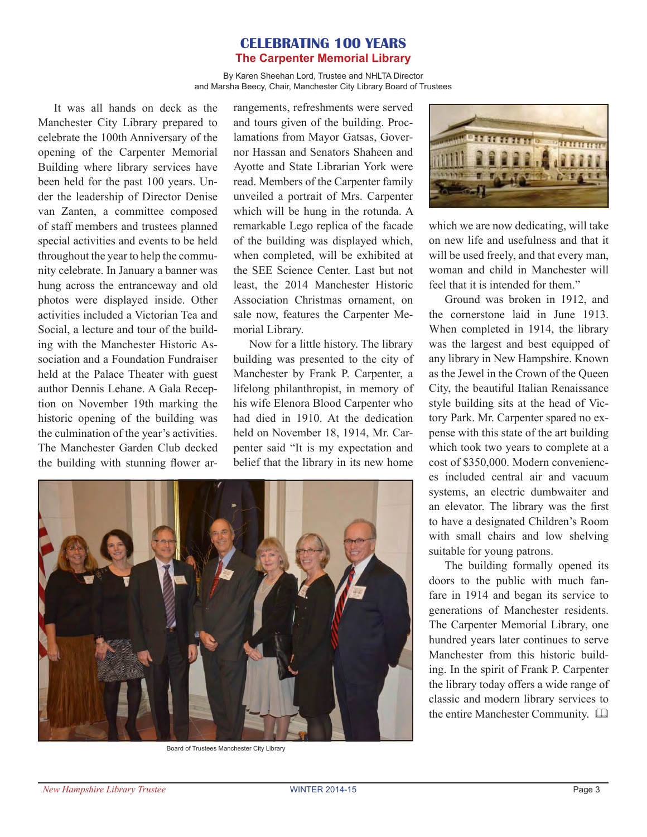#### **CELEBRATING 100 YEARS The Carpenter Memorial Library**

By Karen Sheehan Lord, Trustee and NHLTA Director and Marsha Beecy, Chair, Manchester City Library Board of Trustees

It was all hands on deck as the Manchester City Library prepared to celebrate the 100th Anniversary of the opening of the Carpenter Memorial Building where library services have been held for the past 100 years. Under the leadership of Director Denise van Zanten, a committee composed of staff members and trustees planned special activities and events to be held throughout the year to help the community celebrate. In January a banner was hung across the entranceway and old photos were displayed inside. Other activities included a Victorian Tea and Social, a lecture and tour of the building with the Manchester Historic Association and a Foundation Fundraiser held at the Palace Theater with guest author Dennis Lehane. A Gala Reception on November 19th marking the historic opening of the building was the culmination of the year's activities. The Manchester Garden Club decked the building with stunning flower arrangements, refreshments were served and tours given of the building. Proclamations from Mayor Gatsas, Governor Hassan and Senators Shaheen and Ayotte and State Librarian York were read. Members of the Carpenter family unveiled a portrait of Mrs. Carpenter which will be hung in the rotunda. A remarkable Lego replica of the facade of the building was displayed which, when completed, will be exhibited at the SEE Science Center. Last but not least, the 2014 Manchester Historic Association Christmas ornament, on sale now, features the Carpenter Memorial Library.

Now for a little history. The library building was presented to the city of Manchester by Frank P. Carpenter, a lifelong philanthropist, in memory of his wife Elenora Blood Carpenter who had died in 1910. At the dedication held on November 18, 1914, Mr. Carpenter said "It is my expectation and belief that the library in its new home



Board of Trustees Manchester City Library



which we are now dedicating, will take on new life and usefulness and that it will be used freely, and that every man, woman and child in Manchester will feel that it is intended for them."

Ground was broken in 1912, and the cornerstone laid in June 1913. When completed in 1914, the library was the largest and best equipped of any library in New Hampshire. Known as the Jewel in the Crown of the Queen City, the beautiful Italian Renaissance style building sits at the head of Victory Park. Mr. Carpenter spared no expense with this state of the art building which took two years to complete at a cost of \$350,000. Modern conveniences included central air and vacuum systems, an electric dumbwaiter and an elevator. The library was the first to have a designated Children's Room with small chairs and low shelving suitable for young patrons.

The building formally opened its doors to the public with much fanfare in 1914 and began its service to generations of Manchester residents. The Carpenter Memorial Library, one hundred years later continues to serve Manchester from this historic building. In the spirit of Frank P. Carpenter the library today offers a wide range of classic and modern library services to the entire Manchester Community.  $\Box$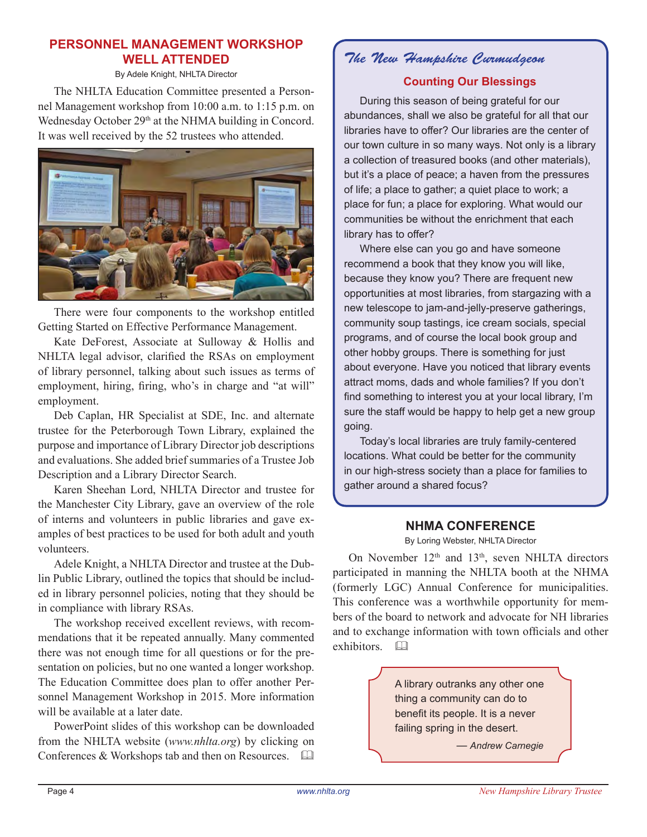### **PERSONNEL MANAGEMENT WORKSHOP WELL ATTENDED**

By Adele Knight, NHLTA Director

The NHLTA Education Committee presented a Personnel Management workshop from 10:00 a.m. to 1:15 p.m. on Wednesday October 29<sup>th</sup> at the NHMA building in Concord. It was well received by the 52 trustees who attended.



There were four components to the workshop entitled Getting Started on Effective Performance Management.

Kate DeForest, Associate at Sulloway & Hollis and NHLTA legal advisor, clarified the RSAs on employment of library personnel, talking about such issues as terms of employment, hiring, firing, who's in charge and "at will" employment.

Deb Caplan, HR Specialist at SDE, Inc. and alternate trustee for the Peterborough Town Library, explained the purpose and importance of Library Director job descriptions and evaluations. She added brief summaries of a Trustee Job Description and a Library Director Search.

Karen Sheehan Lord, NHLTA Director and trustee for the Manchester City Library, gave an overview of the role of interns and volunteers in public libraries and gave examples of best practices to be used for both adult and youth volunteers.

Adele Knight, a NHLTA Director and trustee at the Dublin Public Library, outlined the topics that should be included in library personnel policies, noting that they should be in compliance with library RSAs.

The workshop received excellent reviews, with recommendations that it be repeated annually. Many commented there was not enough time for all questions or for the presentation on policies, but no one wanted a longer workshop. The Education Committee does plan to offer another Personnel Management Workshop in 2015. More information will be available at a later date.

PowerPoint slides of this workshop can be downloaded from the NHLTA website (*www.nhlta.org*) by clicking on Conferences & Workshops tab and then on Resources.  $\Box$ 

# *The New Hampshire Curmudgeon*

#### **Counting Our Blessings**

During this season of being grateful for our abundances, shall we also be grateful for all that our libraries have to offer? Our libraries are the center of our town culture in so many ways. Not only is a library a collection of treasured books (and other materials), but it's a place of peace; a haven from the pressures of life; a place to gather; a quiet place to work; a place for fun; a place for exploring. What would our communities be without the enrichment that each library has to offer?

Where else can you go and have someone recommend a book that they know you will like, because they know you? There are frequent new opportunities at most libraries, from stargazing with a new telescope to jam-and-jelly-preserve gatherings, community soup tastings, ice cream socials, special programs, and of course the local book group and other hobby groups. There is something for just about everyone. Have you noticed that library events attract moms, dads and whole families? If you don't find something to interest you at your local library, I'm sure the staff would be happy to help get a new group going.

Today's local libraries are truly family-centered locations. What could be better for the community in our high-stress society than a place for families to gather around a shared focus?

#### **NHMA CONFERENCE**

By Loring Webster, NHLTA Director

On November  $12<sup>th</sup>$  and  $13<sup>th</sup>$ , seven NHLTA directors participated in manning the NHLTA booth at the NHMA (formerly LGC) Annual Conference for municipalities. This conference was a worthwhile opportunity for members of the board to network and advocate for NH libraries and to exchange information with town officials and other exhibitors.  $\square$ 

> A library outranks any other one thing a community can do to benefit its people. It is a never failing spring in the desert.

> > — *Andrew Carnegie*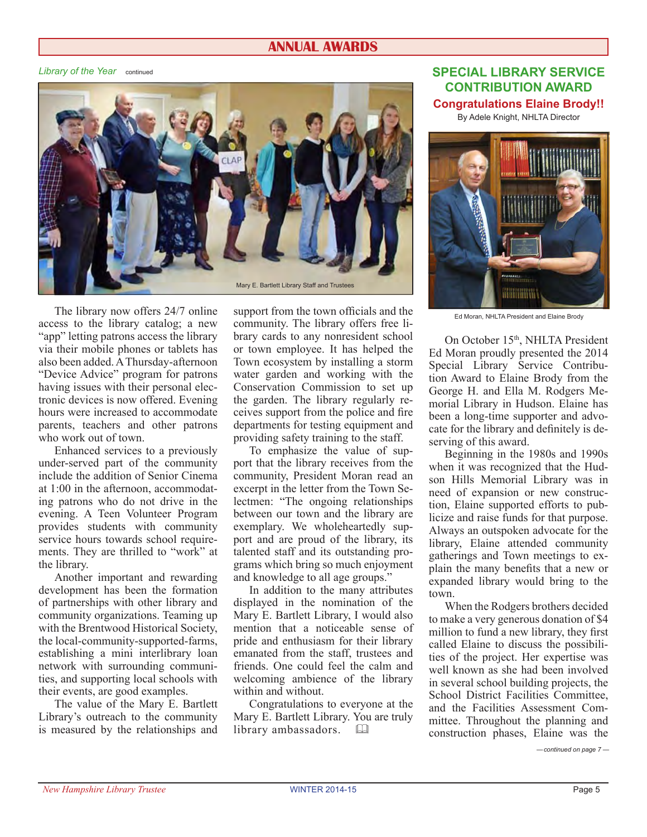#### **ANNUAL AWARDS**

*Library of the Year* continued



The library now offers 24/7 online access to the library catalog; a new "app" letting patrons access the library via their mobile phones or tablets has also been added.AThursday-afternoon "Device Advice" program for patrons having issues with their personal electronic devices is now offered. Evening hours were increased to accommodate parents, teachers and other patrons who work out of town.

Enhanced services to a previously under-served part of the community include the addition of Senior Cinema at 1:00 in the afternoon, accommodating patrons who do not drive in the evening. A Teen Volunteer Program provides students with community service hours towards school requirements. They are thrilled to "work" at the library.

Another important and rewarding development has been the formation of partnerships with other library and community organizations. Teaming up with the Brentwood Historical Society, the local-community-supported-farms, establishing a mini interlibrary loan network with surrounding communities, and supporting local schools with their events, are good examples.

The value of the Mary E. Bartlett Library's outreach to the community is measured by the relationships and support from the town officials and the community. The library offers free library cards to any nonresident school or town employee. It has helped the Town ecosystem by installing a storm water garden and working with the Conservation Commission to set up the garden. The library regularly receives support from the police and fire departments for testing equipment and providing safety training to the staff.

To emphasize the value of support that the library receives from the community, President Moran read an excerpt in the letter from the Town Selectmen: "The ongoing relationships between our town and the library are exemplary. We wholeheartedly support and are proud of the library, its talented staff and its outstanding programs which bring so much enjoyment and knowledge to all age groups."

In addition to the many attributes displayed in the nomination of the Mary E. Bartlett Library, I would also mention that a noticeable sense of pride and enthusiasm for their library emanated from the staff, trustees and friends. One could feel the calm and welcoming ambience of the library within and without.

Congratulations to everyone at the Mary E. Bartlett Library. You are truly library ambassadors.  $\Box$ 

**SPECIAL LIBRARY SERVICE CONTRIBUTION AWARD Congratulations Elaine Brody!!**

By Adele Knight, NHLTA Director



Ed Moran, NHLTA President and Elaine Brody

On October 15<sup>th</sup>, NHLTA President Ed Moran proudly presented the 2014 Special Library Service Contribution Award to Elaine Brody from the George H. and Ella M. Rodgers Memorial Library in Hudson. Elaine has been a long-time supporter and advocate for the library and definitely is deserving of this award.

Beginning in the 1980s and 1990s when it was recognized that the Hudson Hills Memorial Library was in need of expansion or new construction, Elaine supported efforts to publicize and raise funds for that purpose. Always an outspoken advocate for the library, Elaine attended community gatherings and Town meetings to explain the many benefits that a new or expanded library would bring to the town.

When the Rodgers brothers decided to make a very generous donation of \$4 million to fund a new library, they first called Elaine to discuss the possibilities of the project. Her expertise was well known as she had been involved in several school building projects, the School District Facilities Committee, and the Facilities Assessment Committee. Throughout the planning and construction phases, Elaine was the

*— continued on page 7 —*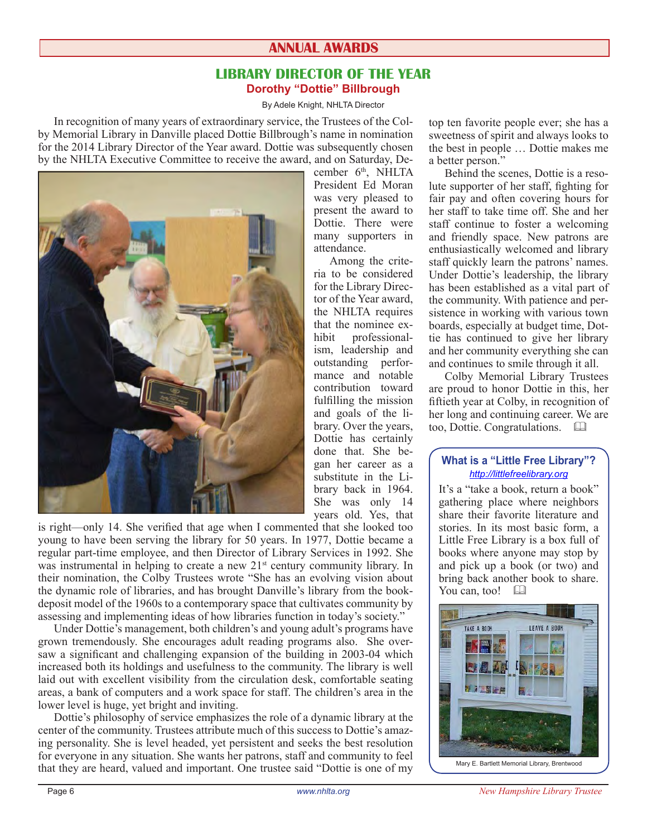# **ANNUAL AWARDS**

#### **LIBRARY DIRECTOR OF THE YEAR Dorothy "Dottie" Billbrough**

#### By Adele Knight, NHLTA Director

In recognition of many years of extraordinary service, the Trustees of the Colby Memorial Library in Danville placed Dottie Billbrough's name in nomination for the 2014 Library Director of the Year award. Dottie was subsequently chosen by the NHLTA Executive Committee to receive the award, and on Saturday, De-



is right—only 14. She verified that age when I commented that she looked too young to have been serving the library for 50 years. In 1977, Dottie became a regular part-time employee, and then Director of Library Services in 1992. She was instrumental in helping to create a new 21<sup>st</sup> century community library. In their nomination, the Colby Trustees wrote "She has an evolving vision about the dynamic role of libraries, and has brought Danville's library from the bookdeposit model of the 1960s to a contemporary space that cultivates community by assessing and implementing ideas of how libraries function in today's society."

Under Dottie's management, both children's and young adult's programs have grown tremendously. She encourages adult reading programs also. She oversaw a significant and challenging expansion of the building in 2003-04 which increased both its holdings and usefulness to the community. The library is well laid out with excellent visibility from the circulation desk, comfortable seating areas, a bank of computers and a work space for staff. The children's area in the lower level is huge, yet bright and inviting.

Dottie's philosophy of service emphasizes the role of a dynamic library at the center of the community. Trustees attribute much of this success to Dottie's amazing personality. She is level headed, yet persistent and seeks the best resolution for everyone in any situation. She wants her patrons, staff and community to feel that they are heard, valued and important. One trustee said "Dottie is one of my

cember 6<sup>th</sup>, NHLTA President Ed Moran was very pleased to present the award to Dottie. There were many supporters in attendance.

Among the criteria to be considered for the Library Director of the Year award, the NHLTA requires that the nominee ex-<br>hibit professionalprofessionalism, leadership and outstanding performance and notable contribution toward fulfilling the mission and goals of the library. Over the years, Dottie has certainly done that. She began her career as a substitute in the Library back in 1964. She was only 14 years old. Yes, that

top ten favorite people ever; she has a sweetness of spirit and always looks to the best in people … Dottie makes me a better person."

Behind the scenes, Dottie is a resolute supporter of her staff, fighting for fair pay and often covering hours for her staff to take time off. She and her staff continue to foster a welcoming and friendly space. New patrons are enthusiastically welcomed and library staff quickly learn the patrons' names. Under Dottie's leadership, the library has been established as a vital part of the community. With patience and persistence in working with various town boards, especially at budget time, Dottie has continued to give her library and her community everything she can and continues to smile through it all.

Colby Memorial Library Trustees are proud to honor Dottie in this, her fiftieth year at Colby, in recognition of her long and continuing career. We are too, Dottie. Congratulations.  $\Box$ 

#### **What is a "Little Free Library"?** *http://littlefreelibrary.org*

It's a "take a book, return a book" gathering place where neighbors share their favorite literature and stories. In its most basic form, a Little Free Library is a box full of books where anyone may stop by and pick up a book (or two) and bring back another book to share. You can, too!



Mary E. Bartlett Memorial Library, Brentwood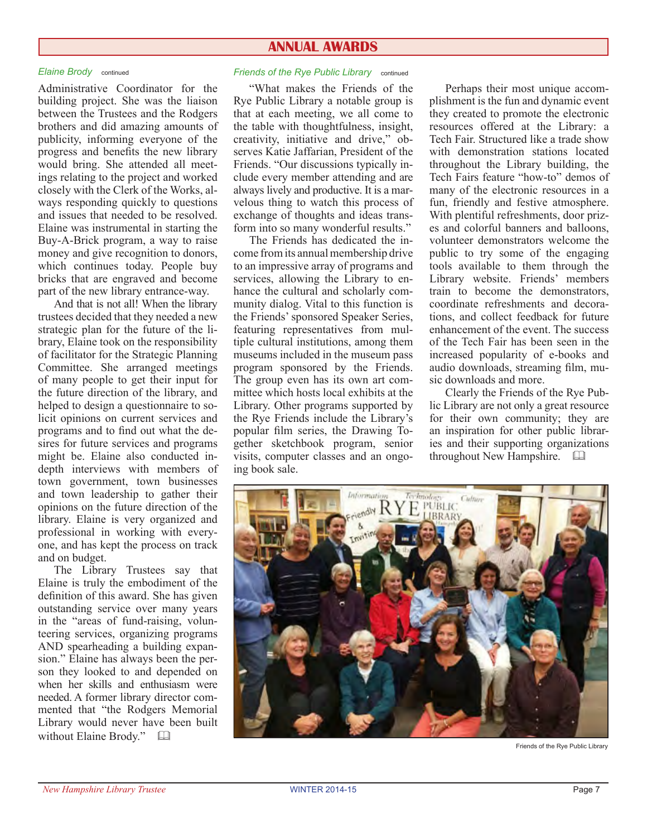#### **ANNUAL AWARDS**

Administrative Coordinator for the building project. She was the liaison between the Trustees and the Rodgers brothers and did amazing amounts of publicity, informing everyone of the progress and benefits the new library would bring. She attended all meetings relating to the project and worked closely with the Clerk of the Works, always responding quickly to questions and issues that needed to be resolved. Elaine was instrumental in starting the Buy-A-Brick program, a way to raise money and give recognition to donors, which continues today. People buy bricks that are engraved and become part of the new library entrance-way.

And that is not all! When the library trustees decided that they needed a new strategic plan for the future of the library, Elaine took on the responsibility of facilitator for the Strategic Planning Committee. She arranged meetings of many people to get their input for the future direction of the library, and helped to design a questionnaire to solicit opinions on current services and programs and to find out what the desires for future services and programs might be. Elaine also conducted indepth interviews with members of town government, town businesses and town leadership to gather their opinions on the future direction of the library. Elaine is very organized and professional in working with everyone, and has kept the process on track and on budget.

The Library Trustees say that Elaine is truly the embodiment of the definition of this award. She has given outstanding service over many years in the "areas of fund-raising, volunteering services, organizing programs AND spearheading a building expansion." Elaine has always been the person they looked to and depended on when her skills and enthusiasm were needed. A former library director commented that "the Rodgers Memorial Library would never have been built without Elaine Brody."  $\Box$ 

#### *Elaine Brody* continued *Friends of the Rye Public Library* continued

"What makes the Friends of the Rye Public Library a notable group is that at each meeting, we all come to the table with thoughtfulness, insight, creativity, initiative and drive," observes Katie Jaffarian, President of the Friends. "Our discussions typically include every member attending and are always lively and productive. It is a marvelous thing to watch this process of exchange of thoughts and ideas transform into so many wonderful results."

The Friends has dedicated the income from its annual membership drive to an impressive array of programs and services, allowing the Library to enhance the cultural and scholarly community dialog. Vital to this function is the Friends'sponsored Speaker Series, featuring representatives from multiple cultural institutions, among them museums included in the museum pass program sponsored by the Friends. The group even has its own art committee which hosts local exhibits at the Library. Other programs supported by the Rye Friends include the Library's popular film series, the Drawing Together sketchbook program, senior visits, computer classes and an ongoing book sale.

Perhaps their most unique accomplishment is the fun and dynamic event they created to promote the electronic resources offered at the Library: a Tech Fair. Structured like a trade show with demonstration stations located throughout the Library building, the Tech Fairs feature "how-to" demos of many of the electronic resources in a fun, friendly and festive atmosphere. With plentiful refreshments, door prizes and colorful banners and balloons, volunteer demonstrators welcome the public to try some of the engaging tools available to them through the Library website. Friends' members train to become the demonstrators, coordinate refreshments and decorations, and collect feedback for future enhancement of the event. The success of the Tech Fair has been seen in the increased popularity of e-books and audio downloads, streaming film, music downloads and more.

Clearly the Friends of the Rye Public Library are not only a great resource for their own community; they are an inspiration for other public libraries and their supporting organizations throughout New Hampshire.  $\Box$ 



Friends of the Rye Public Library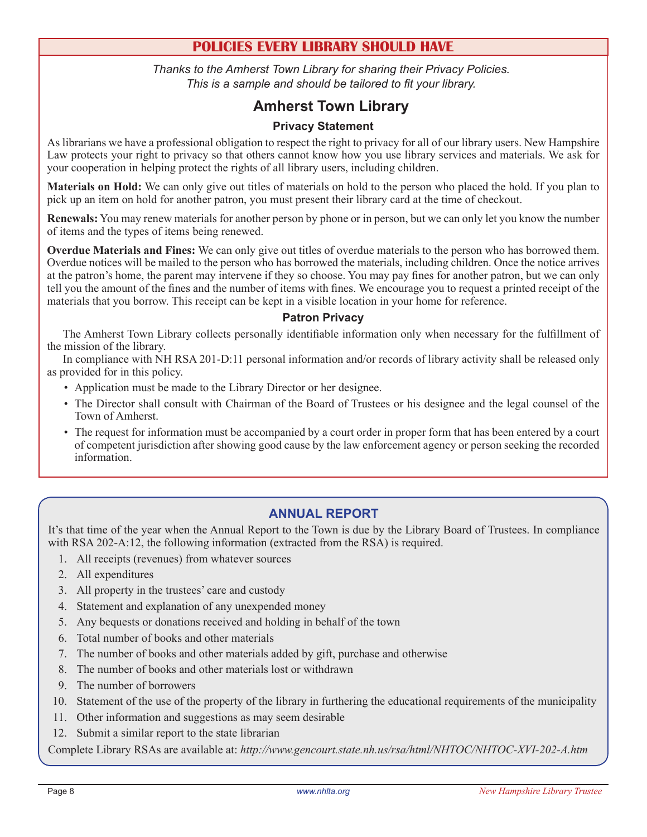# **POLICIES EVERY LIBRARY SHOULD HAVE**

*Thanks to the Amherst Town Library for sharing their Privacy Policies. This is a sample and should be tailored to fit your library.*

# **Amherst Town Library**

#### **Privacy Statement**

As librarians we have a professional obligation to respect the right to privacy for all of our library users. New Hampshire Law protects your right to privacy so that others cannot know how you use library services and materials. We ask for your cooperation in helping protect the rights of all library users, including children.

**Materials on Hold:** We can only give out titles of materials on hold to the person who placed the hold. If you plan to pick up an item on hold for another patron, you must present their library card at the time of checkout.

**Renewals:** You may renew materials for another person by phone or in person, but we can only let you know the number of items and the types of items being renewed.

**Overdue Materials and Fines:** We can only give out titles of overdue materials to the person who has borrowed them. Overdue notices will be mailed to the person who has borrowed the materials, including children. Once the notice arrives at the patron's home, the parent may intervene if they so choose. You may pay fines for another patron, but we can only tell you the amount of the fines and the number of items with fines. We encourage you to request a printed receipt of the materials that you borrow. This receipt can be kept in a visible location in your home for reference.

#### **Patron Privacy**

The Amherst Town Library collects personally identifiable information only when necessary for the fulfillment of the mission of the library.

In compliance with NH RSA 201-D:11 personal information and/or records of library activity shall be released only as provided for in this policy.

- Application must be made to the Library Director or her designee.
- The Director shall consult with Chairman of the Board of Trustees or his designee and the legal counsel of the Town of Amherst.
- • The request for information must be accompanied by a court order in proper form that has been entered by a court of competent jurisdiction after showing good cause by the law enforcement agency or person seeking the recorded information.

#### **ANNUAL REPORT**

It's that time of the year when the Annual Report to the Town is due by the Library Board of Trustees. In compliance with RSA 202-A:12, the following information (extracted from the RSA) is required.

- 1. All receipts (revenues) from whatever sources
- 2. All expenditures
- 3. All property in the trustees' care and custody
- 4. Statement and explanation of any unexpended money
- 5. Any bequests or donations received and holding in behalf of the town
- 6. Total number of books and other materials
- 7. The number of books and other materials added by gift, purchase and otherwise
- 8. The number of books and other materials lost or withdrawn
- 9. The number of borrowers
- 10. Statement of the use of the property of the library in furthering the educational requirements of the municipality
- 11. Other information and suggestions as may seem desirable
- 12. Submit a similar report to the state librarian

Complete Library RSAs are available at: *http://www.gencourt.state.nh.us/rsa/html/NHTOC/NHTOC-XVI-202-A.htm*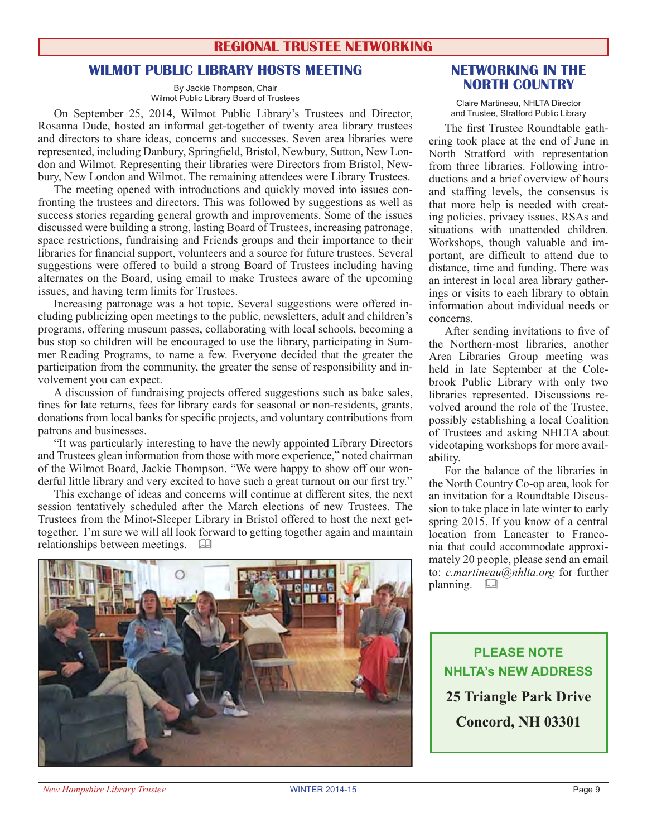#### **REGIONAL TRUSTEE NETWORKING**

#### **WILMOT PUBLIC LIBRARY HOSTS MEETING**

By Jackie Thompson, Chair Wilmot Public Library Board of Trustees

On September 25, 2014, Wilmot Public Library's Trustees and Director, Rosanna Dude, hosted an informal get-together of twenty area library trustees and directors to share ideas, concerns and successes. Seven area libraries were represented, including Danbury, Springfield, Bristol, Newbury, Sutton, New London and Wilmot. Representing their libraries were Directors from Bristol, Newbury, New London and Wilmot. The remaining attendees were Library Trustees.

The meeting opened with introductions and quickly moved into issues confronting the trustees and directors. This was followed by suggestions as well as success stories regarding general growth and improvements. Some of the issues discussed were building a strong, lasting Board of Trustees, increasing patronage, space restrictions, fundraising and Friends groups and their importance to their libraries for financial support, volunteers and a source for future trustees. Several suggestions were offered to build a strong Board of Trustees including having alternates on the Board, using email to make Trustees aware of the upcoming issues, and having term limits for Trustees.

Increasing patronage was a hot topic. Several suggestions were offered including publicizing open meetings to the public, newsletters, adult and children's programs, offering museum passes, collaborating with local schools, becoming a bus stop so children will be encouraged to use the library, participating in Summer Reading Programs, to name a few. Everyone decided that the greater the participation from the community, the greater the sense of responsibility and involvement you can expect.

A discussion of fundraising projects offered suggestions such as bake sales, fines for late returns, fees for library cards for seasonal or non-residents, grants, donations from local banks for specific projects, and voluntary contributions from patrons and businesses.

"It was particularly interesting to have the newly appointed Library Directors and Trustees glean information from those with more experience," noted chairman of the Wilmot Board, Jackie Thompson. "We were happy to show off our wonderful little library and very excited to have such a great turnout on our first try."

This exchange of ideas and concerns will continue at different sites, the next session tentatively scheduled after the March elections of new Trustees. The Trustees from the Minot-Sleeper Library in Bristol offered to host the next gettogether. I'm sure we will all look forward to getting together again and maintain relationships between meetings.  $\square$ 



#### **NETWORKING IN THE NORTH COUNTRY**

Claire Martineau, NHLTA Director and Trustee, Stratford Public Library

The first Trustee Roundtable gathering took place at the end of June in North Stratford with representation from three libraries. Following introductions and a brief overview of hours and staffing levels, the consensus is that more help is needed with creating policies, privacy issues, RSAs and situations with unattended children. Workshops, though valuable and important, are difficult to attend due to distance, time and funding. There was an interest in local area library gatherings or visits to each library to obtain information about individual needs or concerns.

After sending invitations to five of the Northern-most libraries, another Area Libraries Group meeting was held in late September at the Colebrook Public Library with only two libraries represented. Discussions revolved around the role of the Trustee, possibly establishing a local Coalition of Trustees and asking NHLTA about videotaping workshops for more availability.

For the balance of the libraries in the North Country Co-op area, look for an invitation for a Roundtable Discussion to take place in late winter to early spring 2015. If you know of a central location from Lancaster to Franconia that could accommodate approximately 20 people, please send an email to: *c.martineau@nhlta.org* for further planning. a

**PLEASE NOTE NHLTA's NEW ADDRESS 25 Triangle Park Drive Concord, NH 03301**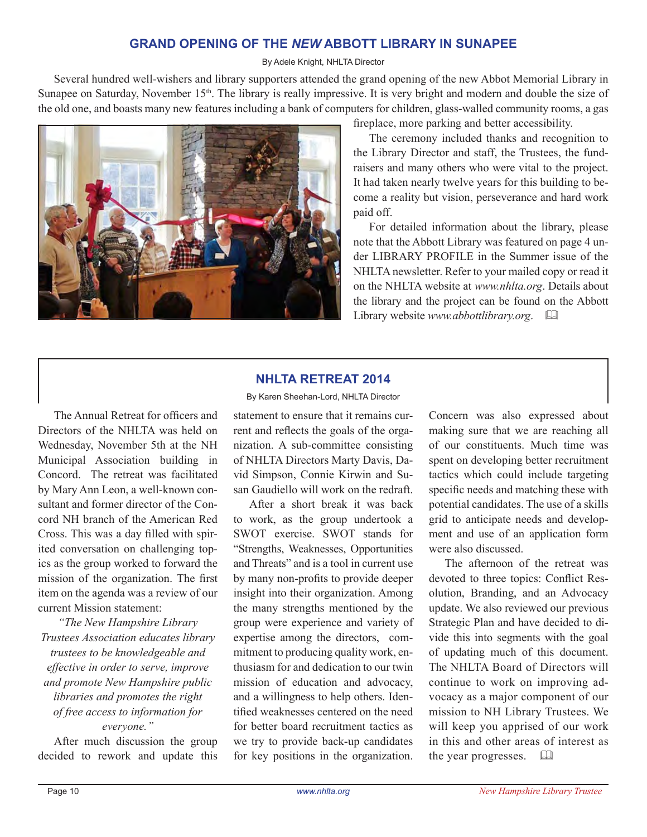#### **GRAND OPENING OF THE** *NEW* **ABBOTT LIBRARY IN SUNAPEE**

#### By Adele Knight, NHLTA Director

Several hundred well-wishers and library supporters attended the grand opening of the new Abbot Memorial Library in Sunapee on Saturday, November 15<sup>th</sup>. The library is really impressive. It is very bright and modern and double the size of the old one, and boasts many new features including a bank of computers for children, glass-walled community rooms, a gas



fireplace, more parking and better accessibility.

The ceremony included thanks and recognition to the Library Director and staff, the Trustees, the fundraisers and many others who were vital to the project. It had taken nearly twelve years for this building to become a reality but vision, perseverance and hard work paid off.

For detailed information about the library, please note that the Abbott Library was featured on page 4 under LIBRARY PROFILE in the Summer issue of the NHLTA newsletter. Refer to your mailed copy or read it on the NHLTA website at *www.nhlta.org*. Details about the library and the project can be found on the Abbott Library website *www.abbottlibrary.org*. &

#### **NHLTA RETREAT 2014** By Karen Sheehan-Lord, NHLTA Director

The Annual Retreat for officers and Directors of the NHLTA was held on Wednesday, November 5th at the NH Municipal Association building in Concord. The retreat was facilitated by Mary Ann Leon, a well-known consultant and former director of the Concord NH branch of the American Red Cross. This was a day filled with spirited conversation on challenging topics as the group worked to forward the mission of the organization. The first item on the agenda was a review of our current Mission statement:

*"The New Hampshire Library Trustees Association educates library trustees to be knowledgeable and effective in order to serve, improve and promote New Hampshire public libraries and promotes the right of free access to information for everyone."*

After much discussion the group decided to rework and update this statement to ensure that it remains current and reflects the goals of the organization. A sub-committee consisting of NHLTA Directors Marty Davis, David Simpson, Connie Kirwin and Susan Gaudiello will work on the redraft.

After a short break it was back to work, as the group undertook a SWOT exercise. SWOT stands for "Strengths, Weaknesses, Opportunities and Threats" and is a tool in current use by many non-profits to provide deeper insight into their organization. Among the many strengths mentioned by the group were experience and variety of expertise among the directors, commitment to producing quality work, enthusiasm for and dedication to our twin mission of education and advocacy, and a willingness to help others. Identified weaknesses centered on the need for better board recruitment tactics as we try to provide back-up candidates for key positions in the organization.

Concern was also expressed about making sure that we are reaching all of our constituents. Much time was spent on developing better recruitment tactics which could include targeting specific needs and matching these with potential candidates. The use of a skills grid to anticipate needs and development and use of an application form were also discussed.

The afternoon of the retreat was devoted to three topics: Conflict Resolution, Branding, and an Advocacy update. We also reviewed our previous Strategic Plan and have decided to divide this into segments with the goal of updating much of this document. The NHLTA Board of Directors will continue to work on improving advocacy as a major component of our mission to NH Library Trustees. We will keep you apprised of our work in this and other areas of interest as the year progresses.  $\Box$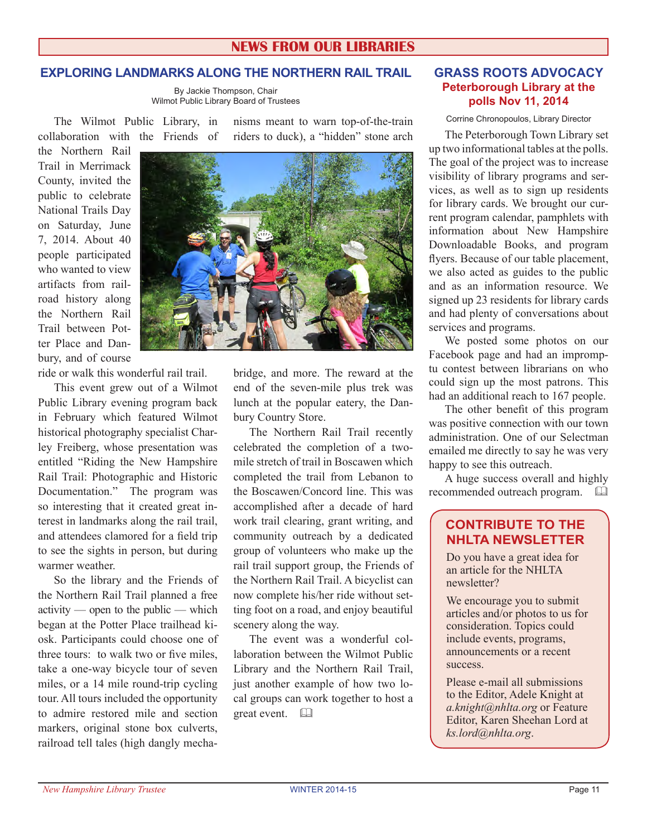#### **NEWS FROM OUR LIBRARIES**

#### **EXPLORING LANDMARKS ALONG THE NORTHERN RAIL TRAIL**

By Jackie Thompson, Chair Wilmot Public Library Board of Trustees

The Wilmot Public Library, in collaboration with the Friends of nisms meant to warn top-of-the-train riders to duck), a "hidden" stone arch

the Northern Rail Trail in Merrimack County, invited the public to celebrate National Trails Day on Saturday, June 7, 2014. About 40 people participated who wanted to view artifacts from railroad history along the Northern Rail Trail between Potter Place and Danbury, and of course

ride or walk this wonderful rail trail.

This event grew out of a Wilmot Public Library evening program back in February which featured Wilmot historical photography specialist Charley Freiberg, whose presentation was entitled "Riding the New Hampshire Rail Trail: Photographic and Historic Documentation." The program was so interesting that it created great interest in landmarks along the rail trail, and attendees clamored for a field trip to see the sights in person, but during warmer weather.

So the library and the Friends of the Northern Rail Trail planned a free activity — open to the public — which began at the Potter Place trailhead kiosk. Participants could choose one of three tours: to walk two or five miles, take a one-way bicycle tour of seven miles, or a 14 mile round-trip cycling tour. All tours included the opportunity to admire restored mile and section markers, original stone box culverts, railroad tell tales (high dangly mecha-



bridge, and more. The reward at the end of the seven-mile plus trek was lunch at the popular eatery, the Danbury Country Store.

The Northern Rail Trail recently celebrated the completion of a twomile stretch of trail in Boscawen which completed the trail from Lebanon to the Boscawen/Concord line. This was accomplished after a decade of hard work trail clearing, grant writing, and community outreach by a dedicated group of volunteers who make up the rail trail support group, the Friends of the Northern Rail Trail. A bicyclist can now complete his/her ride without setting foot on a road, and enjoy beautiful scenery along the way.

The event was a wonderful collaboration between the Wilmot Public Library and the Northern Rail Trail, just another example of how two local groups can work together to host a great event.  $\Box$ 

#### **GRASS ROOTS ADVOCACY Peterborough Library at the polls Nov 11, 2014**

Corrine Chronopoulos, Library Director

The Peterborough Town Library set up two informational tables at the polls. The goal of the project was to increase visibility of library programs and services, as well as to sign up residents for library cards. We brought our current program calendar, pamphlets with information about New Hampshire Downloadable Books, and program flyers. Because of our table placement, we also acted as guides to the public and as an information resource. We signed up 23 residents for library cards and had plenty of conversations about services and programs.

We posted some photos on our Facebook page and had an impromptu contest between librarians on who could sign up the most patrons. This had an additional reach to 167 people.

The other benefit of this program was positive connection with our town administration. One of our Selectman emailed me directly to say he was very happy to see this outreach.

A huge success overall and highly recommended outreach program.  $\Box$ 

### **CONTRIBUTE TO THE NHLTA NEWSLETTER**

Do you have a great idea for an article for the NHLTA newsletter?

We encourage you to submit articles and/or photos to us for consideration. Topics could include events, programs, announcements or a recent success.

Please e-mail all submissions to the Editor, Adele Knight at *a.knight@nhlta.org* or Feature Editor, Karen Sheehan Lord at *ks.lord@nhlta.org*.